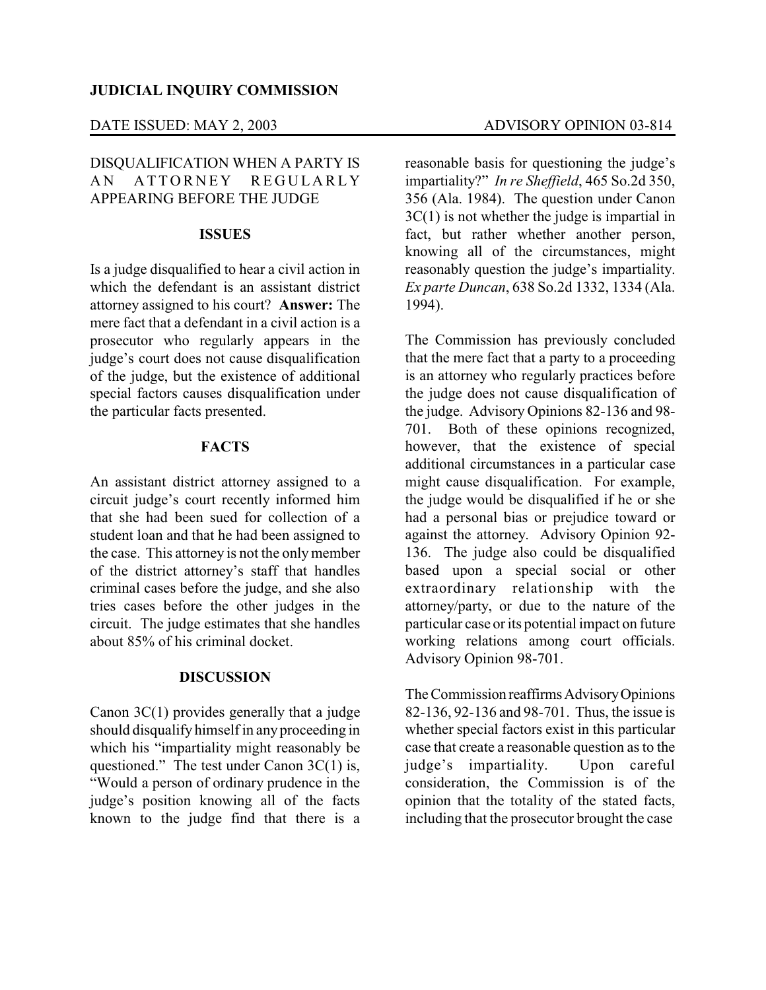### DATE ISSUED: MAY 2, 2003 ADVISORY OPINION 03-814

# DISQUALIFICATION WHEN A PARTY IS AN ATTORNEY REGULARLY APPEARING BEFORE THE JUDGE

### **ISSUES**

Is a judge disqualified to hear a civil action in which the defendant is an assistant district attorney assigned to his court? **Answer:** The mere fact that a defendant in a civil action is a prosecutor who regularly appears in the judge's court does not cause disqualification of the judge, but the existence of additional special factors causes disqualification under the particular facts presented.

## **FACTS**

An assistant district attorney assigned to a circuit judge's court recently informed him that she had been sued for collection of a student loan and that he had been assigned to the case. This attorney is not the onlymember of the district attorney's staff that handles criminal cases before the judge, and she also tries cases before the other judges in the circuit. The judge estimates that she handles about 85% of his criminal docket.

### **DISCUSSION**

Canon 3C(1) provides generally that a judge should disqualify himself in anyproceeding in which his "impartiality might reasonably be questioned." The test under Canon 3C(1) is, "Would a person of ordinary prudence in the judge's position knowing all of the facts known to the judge find that there is a reasonable basis for questioning the judge's impartiality?" *In re Sheffield*, 465 So.2d 350, 356 (Ala. 1984). The question under Canon 3C(1) is not whether the judge is impartial in fact, but rather whether another person, knowing all of the circumstances, might reasonably question the judge's impartiality. *Ex parte Duncan*, 638 So.2d 1332, 1334 (Ala. 1994).

The Commission has previously concluded that the mere fact that a party to a proceeding is an attorney who regularly practices before the judge does not cause disqualification of the judge. Advisory Opinions 82-136 and 98- 701. Both of these opinions recognized, however, that the existence of special additional circumstances in a particular case might cause disqualification. For example, the judge would be disqualified if he or she had a personal bias or prejudice toward or against the attorney. Advisory Opinion 92- 136. The judge also could be disqualified based upon a special social or other extraordinary relationship with the attorney/party, or due to the nature of the particular case or its potential impact on future working relations among court officials. Advisory Opinion 98-701.

The Commission reaffirms Advisory Opinions 82-136, 92-136 and 98-701. Thus, the issue is whether special factors exist in this particular case that create a reasonable question as to the judge's impartiality. Upon careful consideration, the Commission is of the opinion that the totality of the stated facts, including that the prosecutor brought the case